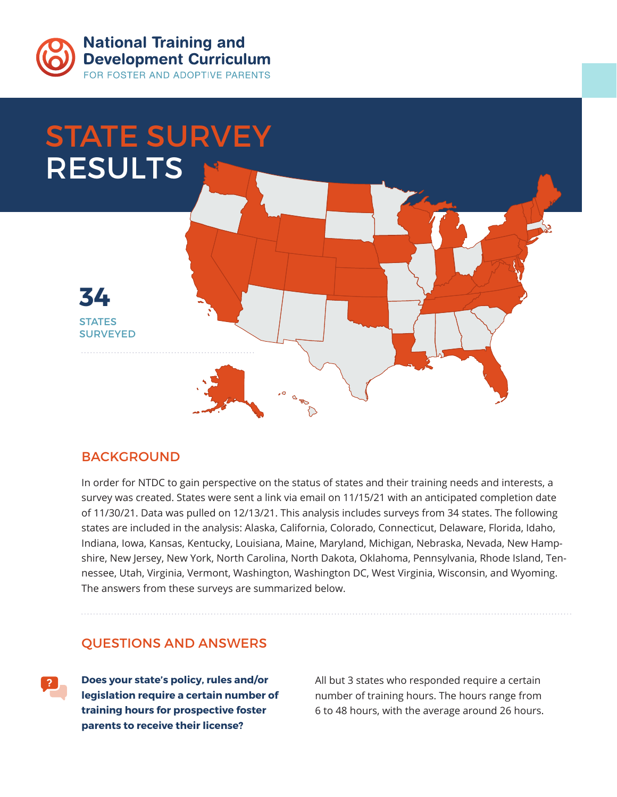

**National Training and Development Curriculum** FOR FOSTER AND ADOPTIVE PARENTS



## **BACKGROUND**

In order for NTDC to gain perspective on the status of states and their training needs and interests, a survey was created. States were sent a link via email on 11/15/21 with an anticipated completion date of 11/30/21. Data was pulled on 12/13/21. This analysis includes surveys from 34 states. The following states are included in the analysis: Alaska, California, Colorado, Connecticut, Delaware, Florida, Idaho, Indiana, Iowa, Kansas, Kentucky, Louisiana, Maine, Maryland, Michigan, Nebraska, Nevada, New Hampshire, New Jersey, New York, North Carolina, North Dakota, Oklahoma, Pennsylvania, Rhode Island, Tennessee, Utah, Virginia, Vermont, Washington, Washington DC, West Virginia, Wisconsin, and Wyoming. The answers from these surveys are summarized below.

## QUESTIONS AND ANSWERS

**Does your state's policy, rules and/or legislation require a certain number of training hours for prospective foster parents to receive their license?**

All but 3 states who responded require a certain number of training hours. The hours range from 6 to 48 hours, with the average around 26 hours.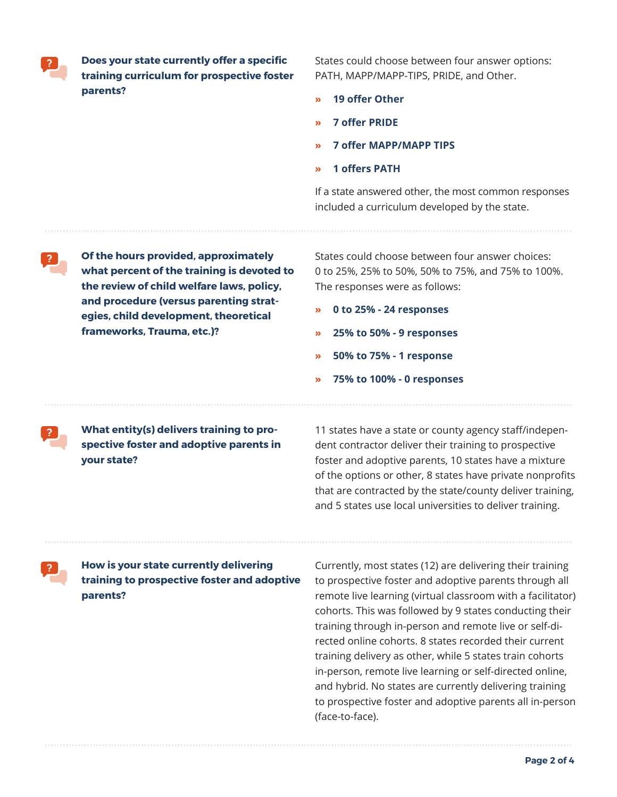**Does your state currently offer a specific training curriculum for prospective foster parents?**

States could choose between four answer options: PATH, MAPP/MAPP-TIPS, PRIDE, and Other.

- **» 19 offer Other**
- **» 7 offer PRIDE**
- **» 7 offer MAPP/MAPP TIPS**
- **» 1 offers PATH**

If a state answered other, the most common responses included a curriculum developed by the state.

**Of the hours provided, approximately what percent of the training is devoted to the review of child welfare laws, policy, and procedure (versus parenting strategies, child development, theoretical frameworks, Trauma, etc.)?**

States could choose between four answer choices: 0 to 25%, 25% to 50%, 50% to 75%, and 75% to 100%. The responses were as follows:

- **» 0 to 25% 24 responses**
- **» 25% to 50% 9 responses**
- **» 50% to 75% 1 response**
- **» 75% to 100% 0 responses**

**What entity(s) delivers training to prospective foster and adoptive parents in your state?**

11 states have a state or county agency staff/independent contractor deliver their training to prospective foster and adoptive parents, 10 states have a mixture of the options or other, 8 states have private nonprofits that are contracted by the state/county deliver training, and 5 states use local universities to deliver training.

**How is your state currently delivering training to prospective foster and adoptive parents?**

Currently, most states (12) are delivering their training to prospective foster and adoptive parents through all remote live learning (virtual classroom with a facilitator) cohorts. This was followed by 9 states conducting their training through in-person and remote live or self-directed online cohorts. 8 states recorded their current training delivery as other, while 5 states train cohorts in-person, remote live learning or self-directed online, and hybrid. No states are currently delivering training to prospective foster and adoptive parents all in-person (face-to-face).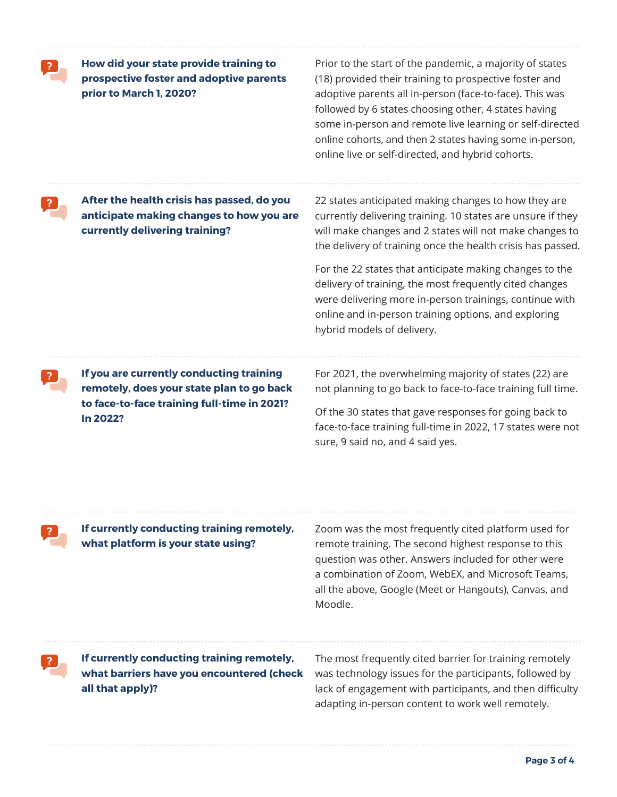**How did your state provide training to prospective foster and adoptive parents prior to March 1, 2020?**

Prior to the start of the pandemic, a majority of states (18) provided their training to prospective foster and adoptive parents all in-person (face-to-face). This was followed by 6 states choosing other, 4 states having some in-person and remote live learning or self-directed online cohorts, and then 2 states having some in-person, online live or self-directed, and hybrid cohorts.

**After the health crisis has passed, do you anticipate making changes to how you are currently delivering training?**

22 states anticipated making changes to how they are currently delivering training. 10 states are unsure if they will make changes and 2 states will not make changes to the delivery of training once the health crisis has passed.

For the 22 states that anticipate making changes to the delivery of training, the most frequently cited changes were delivering more in-person trainings, continue with online and in-person training options, and exploring hybrid models of delivery.

**If you are currently conducting training remotely, does your state plan to go back to face-to-face training full-time in 2021? In 2022?**

For 2021, the overwhelming majority of states (22) are not planning to go back to face-to-face training full time.

Of the 30 states that gave responses for going back to face-to-face training full-time in 2022, 17 states were not sure, 9 said no, and 4 said yes.

**If currently conducting training remotely, what platform is your state using?**

Zoom was the most frequently cited platform used for remote training. The second highest response to this question was other. Answers included for other were a combination of Zoom, WebEX, and Microsoft Teams, all the above, Google (Meet or Hangouts), Canvas, and Moodle.

**If currently conducting training remotely, what barriers have you encountered (check all that apply)?**

The most frequently cited barrier for training remotely was technology issues for the participants, followed by lack of engagement with participants, and then difficulty adapting in-person content to work well remotely.